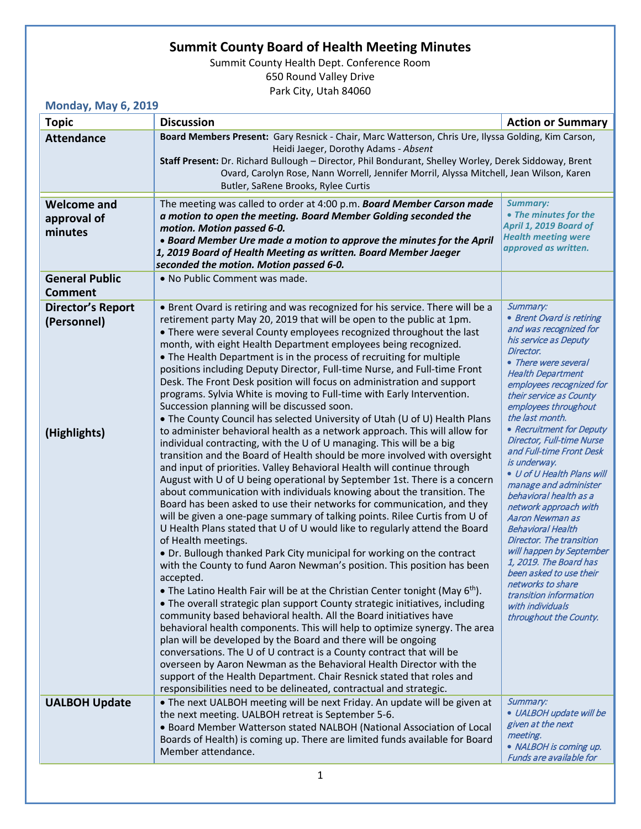## **Summit County Board of Health Meeting Minutes**

Summit County Health Dept. Conference Room 650 Round Valley Drive Park City, Utah 84060

## **Monday, May 6, 2019**

| <b>Topic</b>                                            | <b>Discussion</b>                                                                                                                                                                                                                                                                                                                                                                                                                                                                                                                                                                                                                                                                                                                                                                                                                                                                                                                                                                                                                                                                                                                                                                                                                                                                                                                                                                                                                                                                                                                                                                                                                                                                                                                                                                                                                                                                                                                                                                                                                                                                                                                                                                                                                                                                                                               | <b>Action or Summary</b>                                                                                                                                                                                                                                                                                                                                                                                                                                                                                                                                                                                                                                                                                                                          |
|---------------------------------------------------------|---------------------------------------------------------------------------------------------------------------------------------------------------------------------------------------------------------------------------------------------------------------------------------------------------------------------------------------------------------------------------------------------------------------------------------------------------------------------------------------------------------------------------------------------------------------------------------------------------------------------------------------------------------------------------------------------------------------------------------------------------------------------------------------------------------------------------------------------------------------------------------------------------------------------------------------------------------------------------------------------------------------------------------------------------------------------------------------------------------------------------------------------------------------------------------------------------------------------------------------------------------------------------------------------------------------------------------------------------------------------------------------------------------------------------------------------------------------------------------------------------------------------------------------------------------------------------------------------------------------------------------------------------------------------------------------------------------------------------------------------------------------------------------------------------------------------------------------------------------------------------------------------------------------------------------------------------------------------------------------------------------------------------------------------------------------------------------------------------------------------------------------------------------------------------------------------------------------------------------------------------------------------------------------------------------------------------------|---------------------------------------------------------------------------------------------------------------------------------------------------------------------------------------------------------------------------------------------------------------------------------------------------------------------------------------------------------------------------------------------------------------------------------------------------------------------------------------------------------------------------------------------------------------------------------------------------------------------------------------------------------------------------------------------------------------------------------------------------|
| <b>Attendance</b>                                       | Board Members Present: Gary Resnick - Chair, Marc Watterson, Chris Ure, Ilyssa Golding, Kim Carson,                                                                                                                                                                                                                                                                                                                                                                                                                                                                                                                                                                                                                                                                                                                                                                                                                                                                                                                                                                                                                                                                                                                                                                                                                                                                                                                                                                                                                                                                                                                                                                                                                                                                                                                                                                                                                                                                                                                                                                                                                                                                                                                                                                                                                             |                                                                                                                                                                                                                                                                                                                                                                                                                                                                                                                                                                                                                                                                                                                                                   |
|                                                         | Heidi Jaeger, Dorothy Adams - Absent<br>Staff Present: Dr. Richard Bullough - Director, Phil Bondurant, Shelley Worley, Derek Siddoway, Brent<br>Ovard, Carolyn Rose, Nann Worrell, Jennifer Morril, Alyssa Mitchell, Jean Wilson, Karen<br>Butler, SaRene Brooks, Rylee Curtis                                                                                                                                                                                                                                                                                                                                                                                                                                                                                                                                                                                                                                                                                                                                                                                                                                                                                                                                                                                                                                                                                                                                                                                                                                                                                                                                                                                                                                                                                                                                                                                                                                                                                                                                                                                                                                                                                                                                                                                                                                                 |                                                                                                                                                                                                                                                                                                                                                                                                                                                                                                                                                                                                                                                                                                                                                   |
| <b>Welcome and</b><br>approval of<br>minutes            | The meeting was called to order at 4:00 p.m. Board Member Carson made<br>a motion to open the meeting. Board Member Golding seconded the<br>motion. Motion passed 6-0.<br>• Board Member Ure made a motion to approve the minutes for the April<br>1, 2019 Board of Health Meeting as written. Board Member Jaeger<br>seconded the motion. Motion passed 6-0.                                                                                                                                                                                                                                                                                                                                                                                                                                                                                                                                                                                                                                                                                                                                                                                                                                                                                                                                                                                                                                                                                                                                                                                                                                                                                                                                                                                                                                                                                                                                                                                                                                                                                                                                                                                                                                                                                                                                                                   | <b>Summary:</b><br>• The minutes for the<br>April 1, 2019 Board of<br><b>Health meeting were</b><br>approved as written.                                                                                                                                                                                                                                                                                                                                                                                                                                                                                                                                                                                                                          |
| <b>General Public</b><br><b>Comment</b>                 | . No Public Comment was made.                                                                                                                                                                                                                                                                                                                                                                                                                                                                                                                                                                                                                                                                                                                                                                                                                                                                                                                                                                                                                                                                                                                                                                                                                                                                                                                                                                                                                                                                                                                                                                                                                                                                                                                                                                                                                                                                                                                                                                                                                                                                                                                                                                                                                                                                                                   |                                                                                                                                                                                                                                                                                                                                                                                                                                                                                                                                                                                                                                                                                                                                                   |
| <b>Director's Report</b><br>(Personnel)<br>(Highlights) | • Brent Ovard is retiring and was recognized for his service. There will be a<br>retirement party May 20, 2019 that will be open to the public at 1pm.<br>• There were several County employees recognized throughout the last<br>month, with eight Health Department employees being recognized.<br>• The Health Department is in the process of recruiting for multiple<br>positions including Deputy Director, Full-time Nurse, and Full-time Front<br>Desk. The Front Desk position will focus on administration and support<br>programs. Sylvia White is moving to Full-time with Early Intervention.<br>Succession planning will be discussed soon.<br>• The County Council has selected University of Utah (U of U) Health Plans<br>to administer behavioral health as a network approach. This will allow for<br>individual contracting, with the U of U managing. This will be a big<br>transition and the Board of Health should be more involved with oversight<br>and input of priorities. Valley Behavioral Health will continue through<br>August with U of U being operational by September 1st. There is a concern<br>about communication with individuals knowing about the transition. The<br>Board has been asked to use their networks for communication, and they<br>will be given a one-page summary of talking points. Rilee Curtis from U of<br>U Health Plans stated that U of U would like to regularly attend the Board<br>of Health meetings.<br>. Dr. Bullough thanked Park City municipal for working on the contract<br>with the County to fund Aaron Newman's position. This position has been<br>accepted.<br>• The Latino Health Fair will be at the Christian Center tonight (May $6th$ ).<br>• The overall strategic plan support County strategic initiatives, including<br>community based behavioral health. All the Board initiatives have<br>behavioral health components. This will help to optimize synergy. The area<br>plan will be developed by the Board and there will be ongoing<br>conversations. The U of U contract is a County contract that will be<br>overseen by Aaron Newman as the Behavioral Health Director with the<br>support of the Health Department. Chair Resnick stated that roles and<br>responsibilities need to be delineated, contractual and strategic. | Summary:<br>• Brent Ovard is retiring<br>and was recognized for<br>his service as Deputy<br>Director.<br>• There were several<br><b>Health Department</b><br>employees recognized for<br>their service as County<br>employees throughout<br>the last month.<br>• Recruitment for Deputy<br><b>Director, Full-time Nurse</b><br>and Full-time Front Desk<br>is underway.<br>· U of U Health Plans will<br>manage and administer<br>behavioral health as a<br>network approach with<br><b>Aaron Newman as</b><br><b>Behavioral Health</b><br>Director. The transition<br>will happen by September<br>1, 2019. The Board has<br>been asked to use their<br>networks to share<br>transition information<br>with individuals<br>throughout the County. |
| <b>UALBOH Update</b>                                    | • The next UALBOH meeting will be next Friday. An update will be given at<br>the next meeting. UALBOH retreat is September 5-6.<br>• Board Member Watterson stated NALBOH (National Association of Local<br>Boards of Health) is coming up. There are limited funds available for Board<br>Member attendance.                                                                                                                                                                                                                                                                                                                                                                                                                                                                                                                                                                                                                                                                                                                                                                                                                                                                                                                                                                                                                                                                                                                                                                                                                                                                                                                                                                                                                                                                                                                                                                                                                                                                                                                                                                                                                                                                                                                                                                                                                   | Summary:<br>· UALBOH update will be<br>given at the next<br>meeting.<br>• NALBOH is coming up.<br>Funds are available for                                                                                                                                                                                                                                                                                                                                                                                                                                                                                                                                                                                                                         |